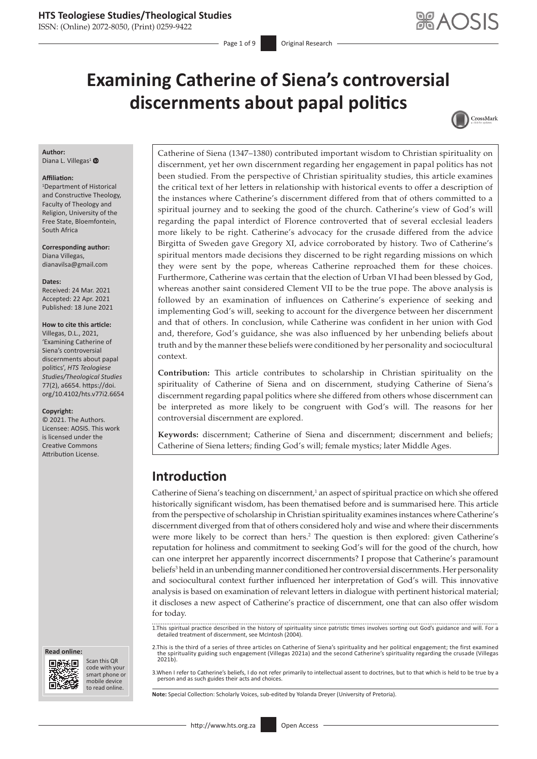ISSN: (Online) 2072-8050, (Print) 0259-9422

Page 1 of 9 **Original Research** 

# **Examining Catherine of Siena's controversial discernments about papal politics**



#### **Author:**

Diana L. Villegas<sup>[1](http://orcid.org/0000-0002-6449-3153)</sup>

#### **Affiliation:**

1 Department of Historical and Constructive Theology, Faculty of Theology and Religion, University of the Free State, Bloemfontein, South Africa

**Corresponding author:** Diana Villegas, [dianavilsa@gmail.com](mailto:dianavilsa@gmail.com)

**Dates:** Received: 24 Mar. 2021 Accepted: 22 Apr. 2021 Published: 18 June 2021

#### **How to cite this article:**

Villegas, D.L., 2021, 'Examining Catherine of Siena's controversial discernments about papal politics', *HTS Teologiese Studies/Theological Studies* 77(2), a6654. [https://doi.](https://doi.org/10.4102/hts.v77i2.6654) [org/10.4102/hts.v77i2.6654](https://doi.org/10.4102/hts.v77i2.6654)

#### **Copyright:**

© 2021. The Authors. Licensee: AOSIS. This work is licensed under the Creative Commons Attribution License.





Scan this QR code with your Scan this QR<br>code with your<br>smart phone or<br>mobile device mobile device to read online. to read online.

Catherine of Siena (1347–1380) contributed important wisdom to Christian spirituality on discernment, yet her own discernment regarding her engagement in papal politics has not been studied. From the perspective of Christian spirituality studies, this article examines the critical text of her letters in relationship with historical events to offer a description of the instances where Catherine's discernment differed from that of others committed to a spiritual journey and to seeking the good of the church. Catherine's view of God's will regarding the papal interdict of Florence controverted that of several ecclesial leaders more likely to be right. Catherine's advocacy for the crusade differed from the advice Birgitta of Sweden gave Gregory XI, advice corroborated by history. Two of Catherine's spiritual mentors made decisions they discerned to be right regarding missions on which they were sent by the pope, whereas Catherine reproached them for these choices. Furthermore, Catherine was certain that the election of Urban VI had been blessed by God, whereas another saint considered Clement VII to be the true pope. The above analysis is followed by an examination of influences on Catherine's experience of seeking and implementing God's will, seeking to account for the divergence between her discernment and that of others. In conclusion, while Catherine was confident in her union with God and, therefore, God's guidance, she was also influenced by her unbending beliefs about truth and by the manner these beliefs were conditioned by her personality and sociocultural context.

**Contribution:** This article contributes to scholarship in Christian spirituality on the spirituality of Catherine of Siena and on discernment, studying Catherine of Siena's discernment regarding papal politics where she differed from others whose discernment can be interpreted as more likely to be congruent with God's will. The reasons for her controversial discernment are explored.

**Keywords:** discernment; Catherine of Siena and discernment; discernment and beliefs; Catherine of Siena letters; finding God's will; female mystics; later Middle Ages.

# **Introduction**

Catherine of Siena's teaching on discernment,<sup>1</sup> an aspect of spiritual practice on which she offered historically significant wisdom, has been thematised before and is summarised here. This article from the perspective of scholarship in Christian spirituality examines instances where Catherine's discernment diverged from that of others considered holy and wise and where their discernments were more likely to be correct than hers.<sup>2</sup> The question is then explored: given Catherine's reputation for holiness and commitment to seeking God's will for the good of the church, how can one interpret her apparently incorrect discernments? I propose that Catherine's paramount beliefs<sup>3</sup> held in an unbending manner conditioned her controversial discernments. Her personality and sociocultural context further influenced her interpretation of God's will. This innovative analysis is based on examination of relevant letters in dialogue with pertinent historical material; it discloses a new aspect of Catherine's practice of discernment, one that can also offer wisdom for today.

1.This spiritual practice described in the history of spirituality since patristic times involves sorting out God's guidance and will. For a detailed treatment of discernment, see McIntosh (2004).

2.This is the third of a series of three articles on Catherine of Siena's spirituality and her political engagement; the first examined the spirituality guiding such engagement (Villegas 2021a) and the second Catherine's spirituality regarding the crusade (Villegas  $2021h$ 

3.When I refer to Catherine's beliefs, I do not refer primarily to intellectual assent to doctrines, but to that which is held to be true by a person and as such guides their acts and choices.

**Note:** Special Collection: Scholarly Voices, sub-edited by Yolanda Dreyer (University of Pretoria).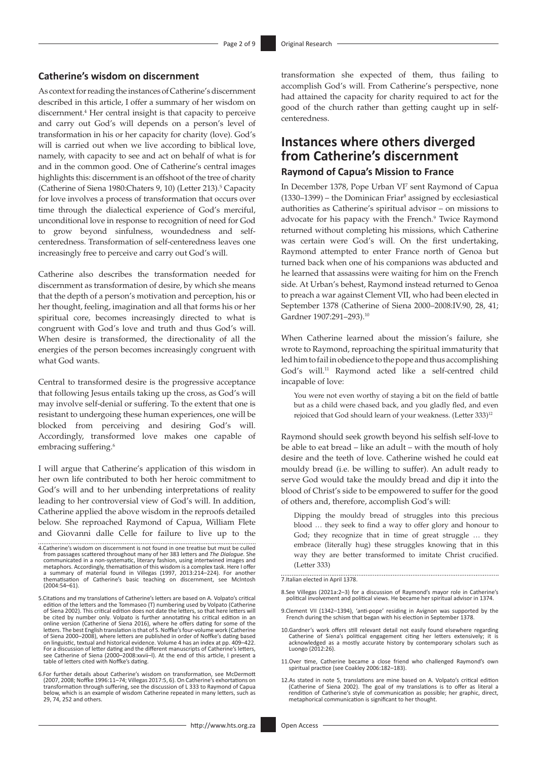## **Catherine's wisdom on discernment**

As context for reading the instances of Catherine's discernment described in this article, I offer a summary of her wisdom on discernment.4 Her central insight is that capacity to perceive and carry out God's will depends on a person's level of transformation in his or her capacity for charity (love). God's will is carried out when we live according to biblical love, namely, with capacity to see and act on behalf of what is for and in the common good. One of Catherine's central images highlights this: discernment is an offshoot of the tree of charity (Catherine of Siena 1980: Chaters 9, 10) (Letter 213).<sup>5</sup> Capacity for love involves a process of transformation that occurs over time through the dialectical experience of God's merciful, unconditional love in response to recognition of need for God to grow beyond sinfulness, woundedness and selfcenteredness. Transformation of self-centeredness leaves one increasingly free to perceive and carry out God's will.

Catherine also describes the transformation needed for discernment as transformation of desire, by which she means that the depth of a person's motivation and perception, his or her thought, feeling, imagination and all that forms his or her spiritual core, becomes increasingly directed to what is congruent with God's love and truth and thus God's will. When desire is transformed, the directionality of all the energies of the person becomes increasingly congruent with what God wants.

Central to transformed desire is the progressive acceptance that following Jesus entails taking up the cross, as God's will may involve self-denial or suffering. To the extent that one is resistant to undergoing these human experiences, one will be blocked from perceiving and desiring God's will. Accordingly, transformed love makes one capable of embracing suffering.<sup>6</sup>

I will argue that Catherine's application of this wisdom in her own life contributed to both her heroic commitment to God's will and to her unbending interpretations of reality leading to her controversial view of God's will. In addition, Catherine applied the above wisdom in the reproofs detailed below. She reproached Raymond of Capua, William Flete and Giovanni dalle Celle for failure to live up to the

- 4.Catherine's wisdom on discernment is not found in one treatise but must be culled from passages scattered throughout many of her 383 letters and *The Dialogue.* She communicated in a non-systematic, literary fashion, using intertwined images and<br>metaphors. Accordingly, thematisation of this wisdom is a complex task. Here I offer<br>a summary of material found in Villegas (1997, 2013:214– thematisation of Catherine's basic teaching on discernment, see McIntosh (2004:54–61).
- 5.Citations and my translations of Catherine's letters are based on A. Volpato's critical edition of the letters and the Tommaseo (T) numbering used by Volpato (Catherine of Siena 2002). This critical edition does not date the letters, so that here letters will be cited by number only. Volpato is further annotating his critical edition in an online version (Catherine of Siena 2016), where he offers dating for some of the letters. The best English translation is that of S. Noffke's four-volume work (Catherine of Siena 2000–2008), where letters are published in order of Noffke's dating based on linguistic, textual and historical evidence. Volume 4 has an index at pp. 409–422. For a discussion of letter dating and the different manuscripts of Catherine's letters, see Catherine of Siena (2000–2008:xxvii–l). At the end of this article, I present a table of letters cited with Noffke's dating.
- 6.For further details about Catherine's wisdom on transformation, see McDermott (2007, 2008; Noffke 1996:11–74; Villegas 2017:5, 6). On Catherine's exhortations on transformation through suffering, see the discussion of L 333 to Raymond of Capua below, which is an example of wisdom Catherine repeated in many letters, such as 29, 74, 252 and others.

transformation she expected of them, thus failing to accomplish God's will. From Catherine's perspective, none had attained the capacity for charity required to act for the good of the church rather than getting caught up in selfcenteredness.

# **Instances where others diverged from Catherine's discernment Raymond of Capua's Mission to France**

In December 1378, Pope Urban VI<sup>7</sup> sent Raymond of Capua  $(1330-1399)$  – the Dominican Friar<sup>8</sup> assigned by ecclesiastical authorities as Catherine's spiritual advisor – on missions to advocate for his papacy with the French.<sup>9</sup> Twice Raymond returned without completing his missions, which Catherine was certain were God's will. On the first undertaking, Raymond attempted to enter France north of Genoa but turned back when one of his companions was abducted and he learned that assassins were waiting for him on the French side. At Urban's behest, Raymond instead returned to Genoa to preach a war against Clement VII, who had been elected in September 1378 (Catherine of Siena 2000–2008:IV.90, 28, 41; Gardner 1907:291–293).10

When Catherine learned about the mission's failure, she wrote to Raymond, reproaching the spiritual immaturity that led him to fail in obedience to the pope and thus accomplishing God's will.11 Raymond acted like a self-centred child incapable of love:

You were not even worthy of staying a bit on the field of battle but as a child were chased back, and you gladly fled, and even rejoiced that God should learn of your weakness. (Letter 333)<sup>12</sup>

Raymond should seek growth beyond his selfish self-love to be able to eat bread – like an adult – with the mouth of holy desire and the teeth of love. Catherine wished he could eat mouldy bread (i.e. be willing to suffer). An adult ready to serve God would take the mouldy bread and dip it into the blood of Christ's side to be empowered to suffer for the good of others and, therefore, accomplish God's will:

Dipping the mouldy bread of struggles into this precious blood … they seek to find a way to offer glory and honour to God; they recognize that in time of great struggle … they embrace (literally hug) these struggles knowing that in this way they are better transformed to imitate Christ crucified. (Letter 333)

7.Italian elected in April 1378.

- 8.See Villegas (2021a:2–3) for a discussion of Raymond's mayor role in Catherine's political involvement and political views. He became her spiritual advisor in 1374.
- 9.Clement VII (1342–1394), 'anti-pope' residing in Avignon was supported by the French during the schism that began with his election in September 1378.
- 10.Gardner's work offers still relevant detail not easily found elsewhere regarding Catherine of Siena's political engagement citing her letters extensively; it is acknowledged as a mostly accurate history by contemporary scholars such as Luongo (2012:26).
- 11.Over time, Catherine became a close friend who challenged Raymond's own spiritual practice (see Coakley 2006:182–183).
- 12.As stated in note 5, translations are mine based on A. Volpato's critical edition<br>(Catherine of Siena 2002). The goal of my translations is to offer as literal a<br>rendition of Catherine's style of communication as possib metaphorical communication is significant to her thought.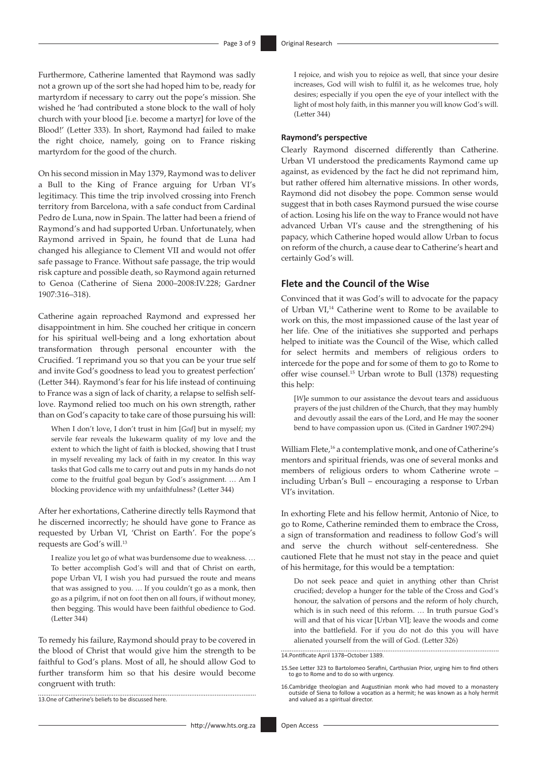Furthermore, Catherine lamented that Raymond was sadly not a grown up of the sort she had hoped him to be, ready for martyrdom if necessary to carry out the pope's mission. She wished he 'had contributed a stone block to the wall of holy church with your blood [i.e. become a martyr] for love of the Blood!' (Letter 333). In short, Raymond had failed to make the right choice, namely, going on to France risking martyrdom for the good of the church.

On his second mission in May 1379, Raymond was to deliver a Bull to the King of France arguing for Urban VI's legitimacy. This time the trip involved crossing into French territory from Barcelona, with a safe conduct from Cardinal Pedro de Luna, now in Spain. The latter had been a friend of Raymond's and had supported Urban. Unfortunately, when Raymond arrived in Spain, he found that de Luna had changed his allegiance to Clement VII and would not offer safe passage to France. Without safe passage, the trip would risk capture and possible death, so Raymond again returned to Genoa (Catherine of Siena 2000–2008:IV.228; Gardner 1907:316–318).

Catherine again reproached Raymond and expressed her disappointment in him. She couched her critique in concern for his spiritual well-being and a long exhortation about transformation through personal encounter with the Crucified. 'I reprimand you so that you can be your true self and invite God's goodness to lead you to greatest perfection' (Letter 344). Raymond's fear for his life instead of continuing to France was a sign of lack of charity, a relapse to selfish selflove. Raymond relied too much on his own strength, rather than on God's capacity to take care of those pursuing his will:

When I don't love, I don't trust in him [*God*] but in myself; my servile fear reveals the lukewarm quality of my love and the extent to which the light of faith is blocked, showing that I trust in myself revealing my lack of faith in my creator. In this way tasks that God calls me to carry out and puts in my hands do not come to the fruitful goal begun by God's assignment. … Am I blocking providence with my unfaithfulness? (Letter 344)

After her exhortations, Catherine directly tells Raymond that he discerned incorrectly; he should have gone to France as requested by Urban VI, 'Christ on Earth'. For the pope's requests are God's will.13

I realize you let go of what was burdensome due to weakness. … To better accomplish God's will and that of Christ on earth, pope Urban VI, I wish you had pursued the route and means that was assigned to you. … If you couldn't go as a monk, then go as a pilgrim, if not on foot then on all fours, if without money, then begging. This would have been faithful obedience to God. (Letter 344)

To remedy his failure, Raymond should pray to be covered in the blood of Christ that would give him the strength to be faithful to God's plans. Most of all, he should allow God to further transform him so that his desire would become congruent with truth:

13.One of Catherine's beliefs to be discussed here.  I rejoice, and wish you to rejoice as well, that since your desire increases, God will wish to fulfil it, as he welcomes true, holy desires; especially if you open the eye of your intellect with the light of most holy faith, in this manner you will know God's will. (Letter 344)

#### **Raymond's perspective**

Clearly Raymond discerned differently than Catherine. Urban VI understood the predicaments Raymond came up against, as evidenced by the fact he did not reprimand him, but rather offered him alternative missions. In other words, Raymond did not disobey the pope. Common sense would suggest that in both cases Raymond pursued the wise course of action. Losing his life on the way to France would not have advanced Urban VI's cause and the strengthening of his papacy, which Catherine hoped would allow Urban to focus on reform of the church, a cause dear to Catherine's heart and certainly God's will.

## **Flete and the Council of the Wise**

Convinced that it was God's will to advocate for the papacy of Urban VI,14 Catherine went to Rome to be available to work on this, the most impassioned cause of the last year of her life. One of the initiatives she supported and perhaps helped to initiate was the Council of the Wise, which called for select hermits and members of religious orders to intercede for the pope and for some of them to go to Rome to offer wise counsel.15 Urban wrote to Bull (1378) requesting this help:

[*W*]e summon to our assistance the devout tears and assiduous prayers of the just children of the Church, that they may humbly and devoutly assail the ears of the Lord, and He may the sooner bend to have compassion upon us. (Cited in Gardner 1907:294)

William Flete,<sup>16</sup> a contemplative monk, and one of Catherine's mentors and spiritual friends, was one of several monks and members of religious orders to whom Catherine wrote – including Urban's Bull – encouraging a response to Urban VI's invitation.

In exhorting Flete and his fellow hermit, Antonio of Nice, to go to Rome, Catherine reminded them to embrace the Cross, a sign of transformation and readiness to follow God's will and serve the church without self-centeredness. She cautioned Flete that he must not stay in the peace and quiet of his hermitage, for this would be a temptation:

Do not seek peace and quiet in anything other than Christ crucified; develop a hunger for the table of the Cross and God's honour, the salvation of persons and the reform of holy church, which is in such need of this reform. … In truth pursue God's will and that of his vicar [Urban VI]; leave the woods and come into the battlefield. For if you do not do this you will have alienated yourself from the will of God. (Letter 326)

14.Pontificate April 1378–October 1389.

<sup>15.</sup>See Letter 323 to Bartolomeo Serafini, Carthusian Prior, urging him to find others to go to Rome and to do so with urgency.

<sup>16.</sup>Cambridge theologian and Augustinian monk who had moved to a monastery outside of Siena to follow a vocation as a hermit; he was known as a holy hermit and valued as a spiritual director.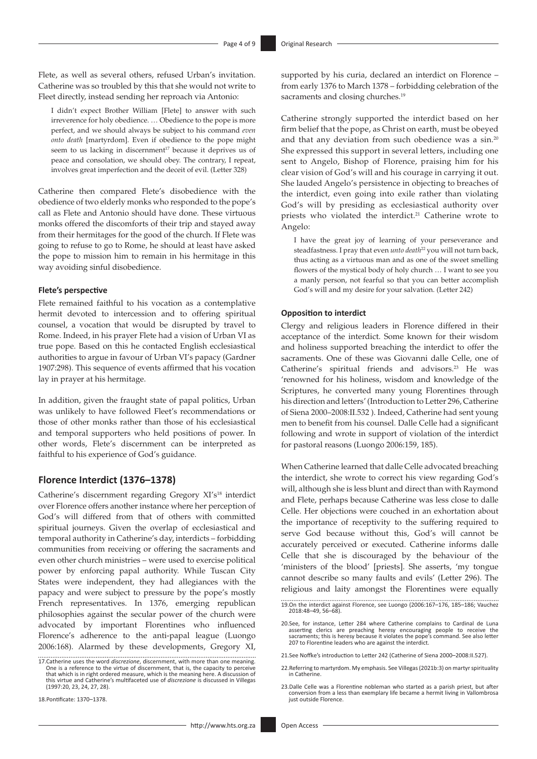Flete, as well as several others, refused Urban's invitation. Catherine was so troubled by this that she would not write to Fleet directly, instead sending her reproach via Antonio:

I didn't expect Brother William [Flete] to answer with such irreverence for holy obedience. … Obedience to the pope is more perfect, and we should always be subject to his command *even onto death* [martyrdom]. Even if obedience to the pope might seem to us lacking in discernment<sup>17</sup> because it deprives us of peace and consolation, we should obey. The contrary, I repeat, involves great imperfection and the deceit of evil. (Letter 328)

Catherine then compared Flete's disobedience with the obedience of two elderly monks who responded to the pope's call as Flete and Antonio should have done. These virtuous monks offered the discomforts of their trip and stayed away from their hermitages for the good of the church. If Flete was going to refuse to go to Rome, he should at least have asked the pope to mission him to remain in his hermitage in this way avoiding sinful disobedience.

#### **Flete's perspective**

Flete remained faithful to his vocation as a contemplative hermit devoted to intercession and to offering spiritual counsel, a vocation that would be disrupted by travel to Rome. Indeed, in his prayer Flete had a vision of Urban VI as true pope. Based on this he contacted English ecclesiastical authorities to argue in favour of Urban VI's papacy (Gardner 1907:298). This sequence of events affirmed that his vocation lay in prayer at his hermitage.

In addition, given the fraught state of papal politics, Urban was unlikely to have followed Fleet's recommendations or those of other monks rather than those of his ecclesiastical and temporal supporters who held positions of power. In other words, Flete's discernment can be interpreted as faithful to his experience of God's guidance.

## **Florence Interdict (1376–1378)**

Catherine's discernment regarding Gregory XI's<sup>18</sup> interdict over Florence offers another instance where her perception of God's will differed from that of others with committed spiritual journeys. Given the overlap of ecclesiastical and temporal authority in Catherine's day, interdicts – forbidding communities from receiving or offering the sacraments and even other church ministries – were used to exercise political power by enforcing papal authority. While Tuscan City States were independent, they had allegiances with the papacy and were subject to pressure by the pope's mostly French representatives. In 1376, emerging republican philosophies against the secular power of the church were advocated by important Florentines who influenced Florence's adherence to the anti-papal league (Luongo 2006:168). Alarmed by these developments, Gregory XI,

18.Pontificate: 1370–1378.

supported by his curia, declared an interdict on Florence – from early 1376 to March 1378 – forbidding celebration of the sacraments and closing churches.<sup>19</sup>

Catherine strongly supported the interdict based on her firm belief that the pope, as Christ on earth, must be obeyed and that any deviation from such obedience was a sin.20 She expressed this support in several letters, including one sent to Angelo, Bishop of Florence, praising him for his clear vision of God's will and his courage in carrying it out. She lauded Angelo's persistence in objecting to breaches of the interdict, even going into exile rather than violating God's will by presiding as ecclesiastical authority over priests who violated the interdict.<sup>21</sup> Catherine wrote to Angelo:

I have the great joy of learning of your perseverance and steadfastness. I pray that even *unto death*<sup>22</sup> you will not turn back, thus acting as a virtuous man and as one of the sweet smelling flowers of the mystical body of holy church … I want to see you a manly person, not fearful so that you can better accomplish God's will and my desire for your salvation. (Letter 242)

#### **Opposition to interdict**

Clergy and religious leaders in Florence differed in their acceptance of the interdict. Some known for their wisdom and holiness supported breaching the interdict to offer the sacraments. One of these was Giovanni dalle Celle, one of Catherine's spiritual friends and advisors.<sup>23</sup> He was 'renowned for his holiness, wisdom and knowledge of the Scriptures, he converted many young Florentines through his direction and letters' (Introduction to Letter 296, Catherine of Siena 2000–2008:II.532 ). Indeed, Catherine had sent young men to benefit from his counsel. Dalle Celle had a significant following and wrote in support of violation of the interdict for pastoral reasons (Luongo 2006:159, 185).

When Catherine learned that dalle Celle advocated breaching the interdict, she wrote to correct his view regarding God's will, although she is less blunt and direct than with Raymond and Flete, perhaps because Catherine was less close to dalle Celle. Her objections were couched in an exhortation about the importance of receptivity to the suffering required to serve God because without this, God's will cannot be accurately perceived or executed. Catherine informs dalle Celle that she is discouraged by the behaviour of the 'ministers of the blood' [priests]. She asserts, 'my tongue cannot describe so many faults and evils' (Letter 296). The religious and laity amongst the Florentines were equally

<sup>17.</sup>Catherine uses the word *discrezione*, discernment, with more than one meaning. One is a reference to the virtue of discernment, that is, the capacity to perceive that which is in right ordered measure, which is the meaning here. A discussion of<br>this virtue and Catherine's multifaceted use of *discrezione* is discussed in Villegas<br>(1997:20, 23, 24, 27, 28).

<sup>19.</sup>On the interdict against Florence, see Luongo (2006:167–176, 185–186; Vauchez 2018:48–49, 56–68).

<sup>20.</sup>See, for instance, Letter 284 where Catherine complains to Cardinal de Luna asserting clerics are preaching heresy encouraging people to receive the sacraments; this is heresy because it violates the pope's command. See also letter 207 to Florentine leaders who are against the interdict.

<sup>21.</sup>See Noffke's introduction to Letter 242 (Catherine of Siena 2000–2008:II.527).

<sup>22.</sup>Referring to martyrdom. My emphasis. See Villegas (2021b:3) on martyr spirituality in Catherine.

<sup>23.</sup>Dalle Celle was a Florentine nobleman who started as a parish priest, but after conversion from a less than exemplary life became a hermit living in Vallombrosa just outside Florence.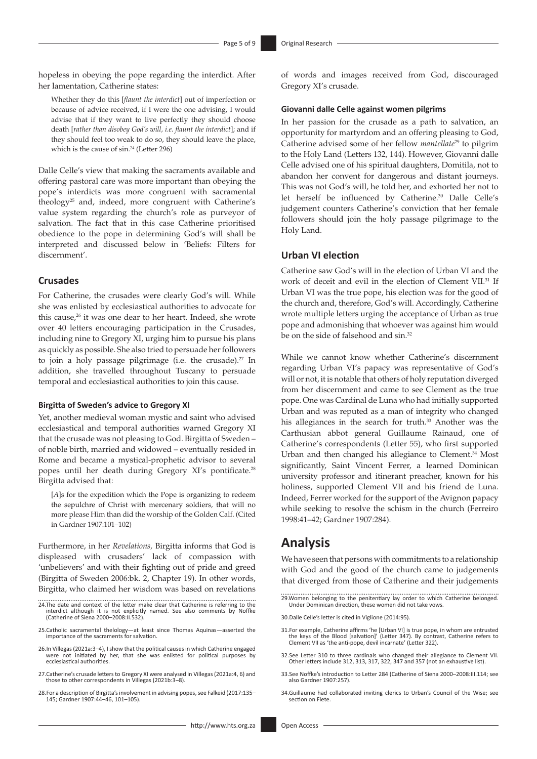hopeless in obeying the pope regarding the interdict. After her lamentation, Catherine states:

Whether they do this [*flaunt the interdict*] out of imperfection or because of advice received, if I were the one advising, I would advise that if they want to live perfectly they should choose death [*rather than disobey God's will, i.e. flaunt the interdict*]; and if they should feel too weak to do so, they should leave the place, which is the cause of sin.<sup>24</sup> (Letter 296)

Dalle Celle's view that making the sacraments available and offering pastoral care was more important than obeying the pope's interdicts was more congruent with sacramental theology25 and, indeed, more congruent with Catherine's value system regarding the church's role as purveyor of salvation. The fact that in this case Catherine prioritised obedience to the pope in determining God's will shall be interpreted and discussed below in 'Beliefs: Filters for discernment'.

#### **Crusades**

For Catherine, the crusades were clearly God's will. While she was enlisted by ecclesiastical authorities to advocate for this cause,<sup>26</sup> it was one dear to her heart. Indeed, she wrote over 40 letters encouraging participation in the Crusades, including nine to Gregory XI, urging him to pursue his plans as quickly as possible. She also tried to persuade her followers to join a holy passage pilgrimage (i.e. the crusade). $27 \text{ In}$ addition, she travelled throughout Tuscany to persuade temporal and ecclesiastical authorities to join this cause.

#### **Birgitta of Sweden's advice to Gregory XI**

Yet, another medieval woman mystic and saint who advised ecclesiastical and temporal authorities warned Gregory XI that the crusade was not pleasing to God. Birgitta of Sweden – of noble birth, married and widowed – eventually resided in Rome and became a mystical-prophetic advisor to several popes until her death during Gregory XI's pontificate.28 Birgitta advised that:

[*A*]s for the expedition which the Pope is organizing to redeem the sepulchre of Christ with mercenary soldiers, that will no more please Him than did the worship of the Golden Calf. (Cited in Gardner 1907:101–102)

Furthermore, in her *Revelations,* Birgitta informs that God is displeased with crusaders' lack of compassion with 'unbelievers' and with their fighting out of pride and greed (Birgitta of Sweden 2006:bk. 2, Chapter 19). In other words, Birgitta, who claimed her wisdom was based on revelations

- 24.The date and context of the letter make clear that Catherine is referring to the interdict although it is not explicitly named. See also comments by Noffke (Catherine of Siena 2000–2008:II.532).
- 25.Catholic sacramental thelology—at least since Thomas Aquinas—asserted the importance of the sacraments for salvation.
- 26.In Villegas (2021a:3–4), I show that the political causes in which Catherine engaged were not initiated by her, that she was enlisted for political purposes by ecclesiastical authorities.
- 27.Catherine's crusade letters to Gregory XI were analysed in Villegas (2021a:4, 6) and those to other correspondents in Villegas (2021b:3–8).
- 28.For a description of Birgitta's involvement in advising popes, see Falkeid (2017:135– 145; Gardner 1907:44–46, 101–105).

<http://www.hts.org.za> Open Access

of words and images received from God, discouraged Gregory XI's crusade.

#### **Giovanni dalle Celle against women pilgrims**

In her passion for the crusade as a path to salvation, an opportunity for martyrdom and an offering pleasing to God, Catherine advised some of her fellow *mantellate*<sup>29</sup> to pilgrim to the Holy Land (Letters 132, 144). However, Giovanni dalle Celle advised one of his spiritual daughters, Domitila, not to abandon her convent for dangerous and distant journeys. This was not God's will, he told her, and exhorted her not to let herself be influenced by Catherine.<sup>30</sup> Dalle Celle's judgement counters Catherine's conviction that her female followers should join the holy passage pilgrimage to the Holy Land.

## **Urban VI election**

Catherine saw God's will in the election of Urban VI and the work of deceit and evil in the election of Clement VII.31 If Urban VI was the true pope, his election was for the good of the church and, therefore, God's will. Accordingly, Catherine wrote multiple letters urging the acceptance of Urban as true pope and admonishing that whoever was against him would be on the side of falsehood and sin.<sup>32</sup>

While we cannot know whether Catherine's discernment regarding Urban VI's papacy was representative of God's will or not, it is notable that others of holy reputation diverged from her discernment and came to see Clement as the true pope. One was Cardinal de Luna who had initially supported Urban and was reputed as a man of integrity who changed his allegiances in the search for truth.<sup>33</sup> Another was the Carthusian abbot general Guillaume Rainaud, one of Catherine's correspondents (Letter 55), who first supported Urban and then changed his allegiance to Clement.<sup>34</sup> Most significantly, Saint Vincent Ferrer, a learned Dominican university professor and itinerant preacher, known for his holiness, supported Clement VII and his friend de Luna. Indeed, Ferrer worked for the support of the Avignon papacy while seeking to resolve the schism in the church (Ferreiro 1998:41–42; Gardner 1907:284).

## **Analysis**

We have seen that persons with commitments to a relationship with God and the good of the church came to judgements that diverged from those of Catherine and their judgements

29.Women belonging to the penitentiary lay order to which Catherine belonged. Under Dominican direction, these women did not take vows.

- 31.For example, Catherine affirms 'he [Urban VI] is true pope, in whom are entrusted the keys of the Blood [salvation]' (Letter 347). By contrast, Catherine refers to Clement VII as 'the anti-pope, devil incarnate' (Letter 322).
- 32.See Letter 310 to three cardinals who changed their allegiance to Clement VII. Other letters include 312, 313, 317, 322, 347 and 357 (not an exhaustive list).
- 33.See Noffke's introduction to Letter 284 (Catherine of Siena 2000–2008:III.114; see also Gardner 1907:257).
- 34.Guillaume had collaborated inviting clerics to Urban's Council of the Wise; see section on Flete.

<sup>30.</sup>Dalle Celle's letter is cited in Viglione (2014:95).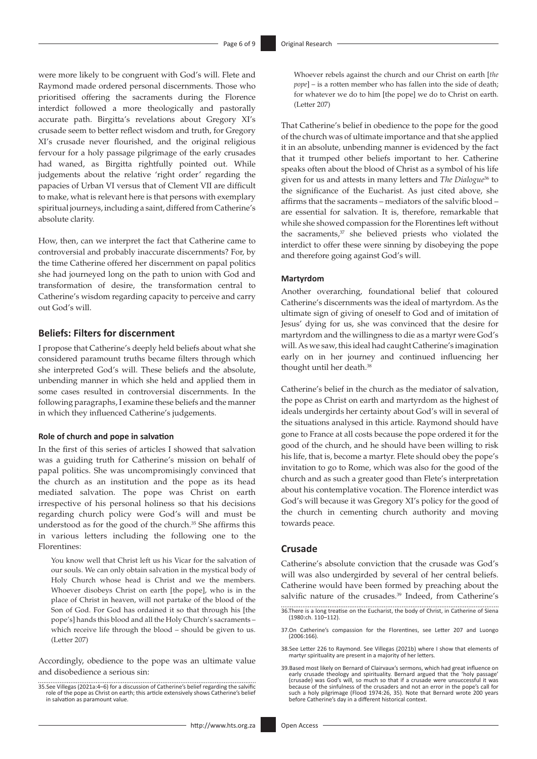were more likely to be congruent with God's will. Flete and Raymond made ordered personal discernments. Those who prioritised offering the sacraments during the Florence interdict followed a more theologically and pastorally accurate path. Birgitta's revelations about Gregory XI's crusade seem to better reflect wisdom and truth, for Gregory XI's crusade never flourished, and the original religious fervour for a holy passage pilgrimage of the early crusades had waned, as Birgitta rightfully pointed out. While judgements about the relative 'right order' regarding the papacies of Urban VI versus that of Clement VII are difficult to make, what is relevant here is that persons with exemplary spiritual journeys, including a saint, differed from Catherine's absolute clarity.

How, then, can we interpret the fact that Catherine came to controversial and probably inaccurate discernments? For, by the time Catherine offered her discernment on papal politics she had journeyed long on the path to union with God and transformation of desire, the transformation central to Catherine's wisdom regarding capacity to perceive and carry out God's will.

## **Beliefs: Filters for discernment**

I propose that Catherine's deeply held beliefs about what she considered paramount truths became filters through which she interpreted God's will. These beliefs and the absolute, unbending manner in which she held and applied them in some cases resulted in controversial discernments. In the following paragraphs, I examine these beliefs and the manner in which they influenced Catherine's judgements.

#### **Role of church and pope in salvation**

In the first of this series of articles I showed that salvation was a guiding truth for Catherine's mission on behalf of papal politics. She was uncompromisingly convinced that the church as an institution and the pope as its head mediated salvation. The pope was Christ on earth irrespective of his personal holiness so that his decisions regarding church policy were God's will and must be understood as for the good of the church.35 She affirms this in various letters including the following one to the Florentines:

You know well that Christ left us his Vicar for the salvation of our souls. We can only obtain salvation in the mystical body of Holy Church whose head is Christ and we the members. Whoever disobeys Christ on earth [the pope], who is in the place of Christ in heaven, will not partake of the blood of the Son of God. For God has ordained it so that through his [the pope's] hands this blood and all the Holy Church's sacraments – which receive life through the blood – should be given to us. (Letter 207)

Accordingly, obedience to the pope was an ultimate value and disobedience a serious sin:

Whoever rebels against the church and our Christ on earth [*the pope*] – is a rotten member who has fallen into the side of death; for whatever we do to him [the pope] we do to Christ on earth. (Letter 207)

That Catherine's belief in obedience to the pope for the good of the church was of ultimate importance and that she applied it in an absolute, unbending manner is evidenced by the fact that it trumped other beliefs important to her. Catherine speaks often about the blood of Christ as a symbol of his life given for us and attests in many letters and *The Dialogue*36 to the significance of the Eucharist. As just cited above, she affirms that the sacraments – mediators of the salvific blood – are essential for salvation. It is, therefore, remarkable that while she showed compassion for the Florentines left without the sacraments, $37$  she believed priests who violated the interdict to offer these were sinning by disobeying the pope and therefore going against God's will.

#### **Martyrdom**

Another overarching, foundational belief that coloured Catherine's discernments was the ideal of martyrdom. As the ultimate sign of giving of oneself to God and of imitation of Jesus' dying for us, she was convinced that the desire for martyrdom and the willingness to die as a martyr were God's will. As we saw, this ideal had caught Catherine's imagination early on in her journey and continued influencing her thought until her death.38

Catherine's belief in the church as the mediator of salvation, the pope as Christ on earth and martyrdom as the highest of ideals undergirds her certainty about God's will in several of the situations analysed in this article. Raymond should have gone to France at all costs because the pope ordered it for the good of the church, and he should have been willing to risk his life, that is, become a martyr. Flete should obey the pope's invitation to go to Rome, which was also for the good of the church and as such a greater good than Flete's interpretation about his contemplative vocation. The Florence interdict was God's will because it was Gregory XI's policy for the good of the church in cementing church authority and moving towards peace.

#### **Crusade**

Catherine's absolute conviction that the crusade was God's will was also undergirded by several of her central beliefs. Catherine would have been formed by preaching about the salvific nature of the crusades.<sup>39</sup> Indeed, from Catherine's

- 36.There is a long treatise on the Eucharist, the body of Christ, in Catherine of Siena (1980:ch. 110–112).
- 37.On Catherine's compassion for the Florentines, see Letter 207 and Luongo (2006:166).

<sup>35.</sup>See Villegas (2021a:4–6) for a discussion of Catherine's belief regarding the salvific role of the pope as Christ on earth; this article extensively shows Catherine's belief in salvation as paramount value.

<sup>38.</sup>See Letter 226 to Raymond. See Villegas (2021b) where I show that elements of martyr spirituality are present in a majority of her letters.

<sup>39.</sup>Based most likely on Bernard of Clairvaux's sermons, which had great influence on early crusade theology and spirituality. Bernard argued that the 'holy passage' (crusade) was God's will, so much so that if a crusade were unsuccessful it was because of the sinfulness of the crusaders and not an error in the pope's call for such a holy pilgrimage (Flood 1974:26, 35). Note that Bernard wrote 200 years before Catherine's day in a different historical context.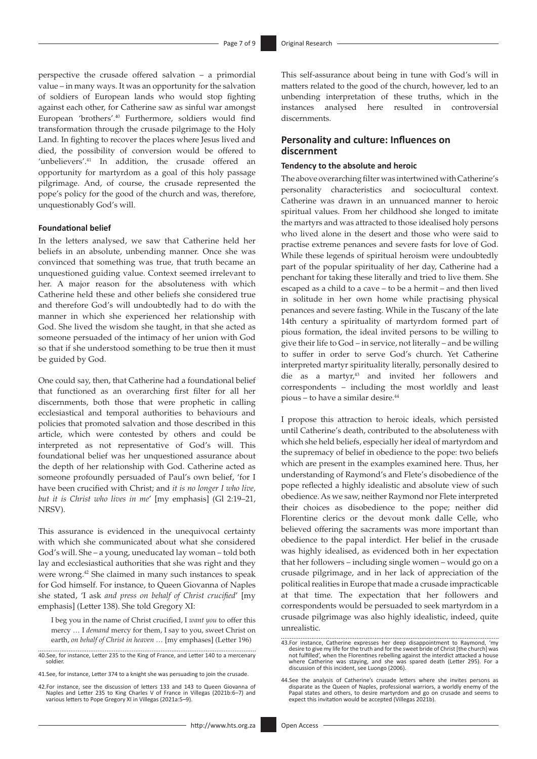perspective the crusade offered salvation – a primordial value – in many ways. It was an opportunity for the salvation of soldiers of European lands who would stop fighting against each other, for Catherine saw as sinful war amongst European 'brothers'.40 Furthermore, soldiers would find transformation through the crusade pilgrimage to the Holy Land. In fighting to recover the places where Jesus lived and died, the possibility of conversion would be offered to 'unbelievers'.<sup>41</sup> In addition, the crusade offered an opportunity for martyrdom as a goal of this holy passage pilgrimage. And, of course, the crusade represented the pope's policy for the good of the church and was, therefore, unquestionably God's will.

#### **Foundational belief**

In the letters analysed, we saw that Catherine held her beliefs in an absolute, unbending manner. Once she was convinced that something was true, that truth became an unquestioned guiding value. Context seemed irrelevant to her. A major reason for the absoluteness with which Catherine held these and other beliefs she considered true and therefore God's will undoubtedly had to do with the manner in which she experienced her relationship with God. She lived the wisdom she taught, in that she acted as someone persuaded of the intimacy of her union with God so that if she understood something to be true then it must be guided by God.

One could say, then, that Catherine had a foundational belief that functioned as an overarching first filter for all her discernments, both those that were prophetic in calling ecclesiastical and temporal authorities to behaviours and policies that promoted salvation and those described in this article, which were contested by others and could be interpreted as not representative of God's will. This foundational belief was her unquestioned assurance about the depth of her relationship with God. Catherine acted as someone profoundly persuaded of Paul's own belief, 'for I have been crucified with Christ; and *it is no longer I who live, but it is Christ who lives in me*' [my emphasis] (Gl 2:19–21, NRSV).

This assurance is evidenced in the unequivocal certainty with which she communicated about what she considered God's will. She – a young, uneducated lay woman – told both lay and ecclesiastical authorities that she was right and they were wrong.42 She claimed in many such instances to speak for God himself. For instance, to Queen Giovanna of Naples she stated, 'I ask *and press on behalf of Christ crucified*' [my emphasis] (Letter 138). She told Gregory XI:

I beg you in the name of Christ crucified, I *want you* to offer this mercy … I *demand* mercy for them, I say to you, sweet Christ on earth, *on behalf of Christ in heaven …* [my emphases] (Letter 196)

40.See, for instance, Letter 235 to the King of France, and Letter 140 to a mercenary soldier.

41.See, for instance, Letter 374 to a knight she was persuading to join the crusade.

42.For instance, see the discussion of letters 133 and 143 to Queen Giovanna of Naples and Letter 235 to King Charles V of France in Villegas (2021b:6–7) and various letters to Pope Gregory XI in Villegas (2021a:5–9). This self-assurance about being in tune with God's will in matters related to the good of the church, however, led to an unbending interpretation of these truths, which in the instances analysed here resulted in controversial discernments.

## **Personality and culture: Influences on discernment**

#### **Tendency to the absolute and heroic**

The above overarching filter was intertwined with Catherine's personality characteristics and sociocultural context. Catherine was drawn in an unnuanced manner to heroic spiritual values. From her childhood she longed to imitate the martyrs and was attracted to those idealised holy persons who lived alone in the desert and those who were said to practise extreme penances and severe fasts for love of God. While these legends of spiritual heroism were undoubtedly part of the popular spirituality of her day, Catherine had a penchant for taking these literally and tried to live them. She escaped as a child to a cave – to be a hermit – and then lived in solitude in her own home while practising physical penances and severe fasting. While in the Tuscany of the late 14th century a spirituality of martyrdom formed part of pious formation, the ideal invited persons to be willing to give their life to God – in service, not literally – and be willing to suffer in order to serve God's church. Yet Catherine interpreted martyr spirituality literally, personally desired to die as a martyr,<sup>43</sup> and invited her followers and correspondents – including the most worldly and least pious – to have a similar desire.44

I propose this attraction to heroic ideals, which persisted until Catherine's death, contributed to the absoluteness with which she held beliefs, especially her ideal of martyrdom and the supremacy of belief in obedience to the pope: two beliefs which are present in the examples examined here. Thus, her understanding of Raymond's and Flete's disobedience of the pope reflected a highly idealistic and absolute view of such obedience. As we saw, neither Raymond nor Flete interpreted their choices as disobedience to the pope; neither did Florentine clerics or the devout monk dalle Celle, who believed offering the sacraments was more important than obedience to the papal interdict. Her belief in the crusade was highly idealised, as evidenced both in her expectation that her followers – including single women – would go on a crusade pilgrimage, and in her lack of appreciation of the political realities in Europe that made a crusade impracticable at that time. The expectation that her followers and correspondents would be persuaded to seek martyrdom in a crusade pilgrimage was also highly idealistic, indeed, quite unrealistic.

<sup>43.</sup>For instance, Catherine expresses her deep disappointment to Raymond, 'my desire to give my life for the truth and for the sweet bride of Christ [the church] was not fulfilled', when the Florentines rebelling against the interdict attacked a house where Catherine was staying, and she was spared death (Letter 295). For a discussion of this incident, see Luongo (2006).

<sup>44.</sup>See the analysis of Catherine's crusade letters where she invites persons as disparate as the Queen of Naples, professional warriors, a worldly enemy of the Papal states and others, to desire martyrdom and go on crusade and seems to expect this invitation would be accepted (Villegas 2021b).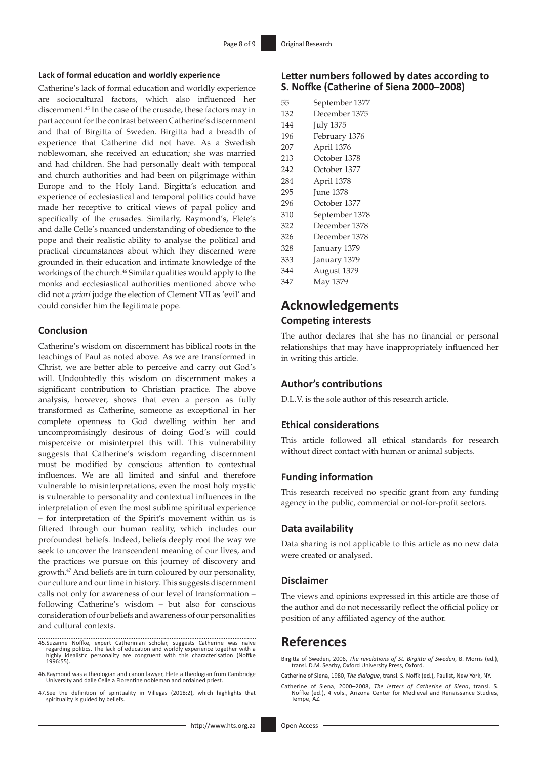#### **Lack of formal education and worldly experience**

Catherine's lack of formal education and worldly experience are sociocultural factors, which also influenced her discernment.45 In the case of the crusade, these factors may in part account for the contrast between Catherine's discernment and that of Birgitta of Sweden. Birgitta had a breadth of experience that Catherine did not have. As a Swedish noblewoman, she received an education; she was married and had children. She had personally dealt with temporal and church authorities and had been on pilgrimage within Europe and to the Holy Land. Birgitta's education and experience of ecclesiastical and temporal politics could have made her receptive to critical views of papal policy and specifically of the crusades. Similarly, Raymond's, Flete's and dalle Celle's nuanced understanding of obedience to the pope and their realistic ability to analyse the political and practical circumstances about which they discerned were grounded in their education and intimate knowledge of the workings of the church.46 Similar qualities would apply to the monks and ecclesiastical authorities mentioned above who did not *a priori* judge the election of Clement VII as 'evil' and could consider him the legitimate pope.

## **Conclusion**

Catherine's wisdom on discernment has biblical roots in the teachings of Paul as noted above. As we are transformed in Christ, we are better able to perceive and carry out God's will. Undoubtedly this wisdom on discernment makes a significant contribution to Christian practice. The above analysis, however, shows that even a person as fully transformed as Catherine, someone as exceptional in her complete openness to God dwelling within her and uncompromisingly desirous of doing God's will could misperceive or misinterpret this will. This vulnerability suggests that Catherine's wisdom regarding discernment must be modified by conscious attention to contextual influences. We are all limited and sinful and therefore vulnerable to misinterpretations; even the most holy mystic is vulnerable to personality and contextual influences in the interpretation of even the most sublime spiritual experience – for interpretation of the Spirit's movement within us is filtered through our human reality, which includes our profoundest beliefs. Indeed, beliefs deeply root the way we seek to uncover the transcendent meaning of our lives, and the practices we pursue on this journey of discovery and growth.47 And beliefs are in turn coloured by our personality, our culture and our time in history. This suggests discernment calls not only for awareness of our level of transformation – following Catherine's wisdom – but also for conscious consideration of our beliefs and awareness of our personalities and cultural contexts.

- 45.Suzanne Noffke, expert Catherinian scholar, suggests Catherine was naïve<br>regarding politics. The lack of education and worldly experience together with a<br>highly idealistic personality are congruent with this characteris 1996:55).
- 46.Raymond was a theologian and canon lawyer, Flete a theologian from Cambridge University and dalle Celle a Florentine nobleman and ordained priest.
- 47.See the definition of spirituality in Villegas (2018:2), which highlights that spirituality is guided by beliefs.

## **Letter numbers followed by dates according to S. Noffke (Catherine of Siena 2000–2008)**

| 55  | September 1377   |
|-----|------------------|
| 132 | December 1375    |
| 144 | <b>July 1375</b> |
| 196 | February 1376    |
| 207 | April 1376       |
| 213 | October 1378     |
| 242 | October 1377     |
| 284 | April 1378       |
| 295 | <b>June 1378</b> |
| 296 | October 1377     |
| 310 | September 1378   |
| 322 | December 1378    |
| 326 | December 1378    |
| 328 | January 1379     |
| 333 | January 1379     |
| 344 | August 1379      |
| 347 | May 1379         |

# **Acknowledgements**

## **Competing interests**

The author declares that she has no financial or personal relationships that may have inappropriately influenced her in writing this article.

## **Author's contributions**

D.L.V. is the sole author of this research article.

### **Ethical considerations**

This article followed all ethical standards for research without direct contact with human or animal subjects.

## **Funding information**

This research received no specific grant from any funding agency in the public, commercial or not-for-profit sectors.

### **Data availability**

Data sharing is not applicable to this article as no new data were created or analysed.

#### **Disclaimer**

The views and opinions expressed in this article are those of the author and do not necessarily reflect the official policy or position of any affiliated agency of the author.

## **References**

Birgitta of Sweden, 2006, *The revelations of St. Birgitta of Sweden*, B. Morris (ed.), transl. D.M. Searby, Oxford University Press, Oxford.

- Catherine of Siena, 1980, *The dialogue*, transl. S. Noffk (ed.), Paulist, New York, NY.
- Catherine of Siena, 2000–2008, *The letters of Catherine of Siena*, transl. S. Noffke (ed.), 4 vols., Arizona Center for Medieval and Renaissance Studies, Tempe, AZ.